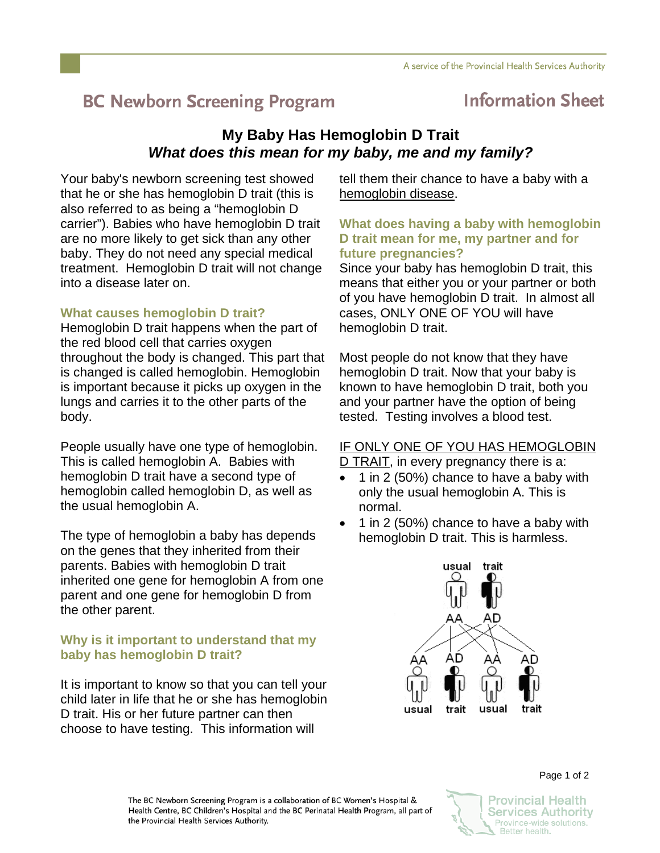# **BC Newborn Screening Program**

## **Information Sheet**

## **My Baby Has Hemoglobin D Trait**  *What does this mean for my baby, me and my family?*

Your baby's newborn screening test showed that he or she has hemoglobin D trait (this is also referred to as being a "hemoglobin D carrier"). Babies who have hemoglobin D trait are no more likely to get sick than any other baby. They do not need any special medical treatment. Hemoglobin D trait will not change into a disease later on.

## **What causes hemoglobin D trait?**

Hemoglobin D trait happens when the part of the red blood cell that carries oxygen throughout the body is changed. This part that is changed is called hemoglobin. Hemoglobin is important because it picks up oxygen in the lungs and carries it to the other parts of the body.

People usually have one type of hemoglobin. This is called hemoglobin A. Babies with hemoglobin D trait have a second type of hemoglobin called hemoglobin D, as well as the usual hemoglobin A.

The type of hemoglobin a baby has depends on the genes that they inherited from their parents. Babies with hemoglobin D trait inherited one gene for hemoglobin A from one parent and one gene for hemoglobin D from the other parent.

## **Why is it important to understand that my baby has hemoglobin D trait?**

It is important to know so that you can tell your child later in life that he or she has hemoglobin D trait. His or her future partner can then choose to have testing. This information will

tell them their chance to have a baby with a hemoglobin disease.

#### **What does having a baby with hemoglobin D trait mean for me, my partner and for future pregnancies?**

Since your baby has hemoglobin D trait, this means that either you or your partner or both of you have hemoglobin D trait. In almost all cases, ONLY ONE OF YOU will have hemoglobin D trait.

Most people do not know that they have hemoglobin D trait. Now that your baby is known to have hemoglobin D trait, both you and your partner have the option of being tested. Testing involves a blood test.

## IF ONLY ONE OF YOU HAS HEMOGLOBIN

D TRAIT, in every pregnancy there is a:

- 1 in 2 (50%) chance to have a baby with only the usual hemoglobin A. This is normal.
- 1 in 2 (50%) chance to have a baby with hemoglobin D trait. This is harmless.



The BC Newborn Screening Program is a collaboration of BC Women's Hospital & Health Centre, BC Children's Hospital and the BC Perinatal Health Program, all part of the Provincial Health Services Authority.